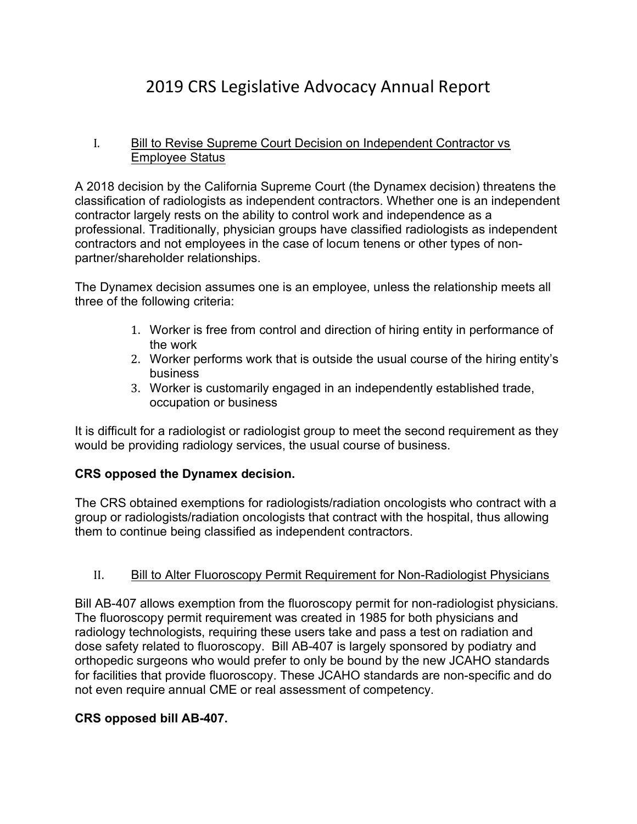# 2019 CRS Legislative Advocacy Annual Report

### I. Bill to Revise Supreme Court Decision on Independent Contractor vs Employee Status

A 2018 decision by the California Supreme Court (the Dynamex decision) threatens the classification of radiologists as independent contractors. Whether one is an independent contractor largely rests on the ability to control work and independence as a professional. Traditionally, physician groups have classified radiologists as independent contractors and not employees in the case of locum tenens or other types of nonpartner/shareholder relationships.

The Dynamex decision assumes one is an employee, unless the relationship meets all three of the following criteria:

- 1. Worker is free from control and direction of hiring entity in performance of the work
- 2. Worker performs work that is outside the usual course of the hiring entity's business
- 3. Worker is customarily engaged in an independently established trade, occupation or business

It is difficult for a radiologist or radiologist group to meet the second requirement as they would be providing radiology services, the usual course of business.

## CRS opposed the Dynamex decision.

The CRS obtained exemptions for radiologists/radiation oncologists who contract with a group or radiologists/radiation oncologists that contract with the hospital, thus allowing them to continue being classified as independent contractors.

## II. Bill to Alter Fluoroscopy Permit Requirement for Non-Radiologist Physicians

Bill AB-407 allows exemption from the fluoroscopy permit for non-radiologist physicians. The fluoroscopy permit requirement was created in 1985 for both physicians and radiology technologists, requiring these users take and pass a test on radiation and dose safety related to fluoroscopy. Bill AB-407 is largely sponsored by podiatry and orthopedic surgeons who would prefer to only be bound by the new JCAHO standards for facilities that provide fluoroscopy. These JCAHO standards are non-specific and do not even require annual CME or real assessment of competency.

#### CRS opposed bill AB-407.